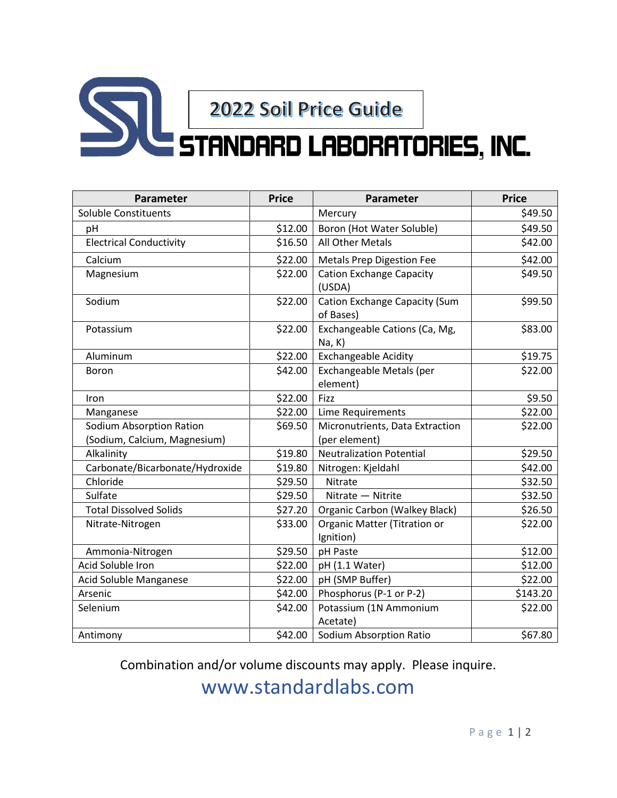## Sale 2022 Soil Price Guide

| Parameter                       | <b>Price</b> | Parameter                                  | <b>Price</b> |
|---------------------------------|--------------|--------------------------------------------|--------------|
| Soluble Constituents            |              | Mercury                                    | \$49.50      |
| pH                              | \$12.00      | Boron (Hot Water Soluble)                  | \$49.50      |
| <b>Electrical Conductivity</b>  | \$16.50      | All Other Metals                           | \$42.00      |
| Calcium                         | \$22.00      | <b>Metals Prep Digestion Fee</b>           | \$42.00      |
| Magnesium                       | \$22.00      | <b>Cation Exchange Capacity</b><br>(USDA)  | \$49.50      |
| Sodium                          | \$22.00      | Cation Exchange Capacity (Sum<br>of Bases) | \$99.50      |
| Potassium                       | \$22.00      | Exchangeable Cations (Ca, Mg,<br>Na, K)    | \$83.00      |
| Aluminum                        | \$22.00      | <b>Exchangeable Acidity</b>                | \$19.75      |
| Boron                           | \$42.00      | Exchangeable Metals (per<br>element)       | \$22.00      |
| Iron                            | \$22.00      | Fizz                                       | \$9.50       |
| Manganese                       | \$22.00      | Lime Requirements                          | \$22.00      |
| Sodium Absorption Ration        | \$69.50      | Micronutrients, Data Extraction            | \$22.00      |
| (Sodium, Calcium, Magnesium)    |              | (per element)                              |              |
| Alkalinity                      | \$19.80      | <b>Neutralization Potential</b>            | \$29.50      |
| Carbonate/Bicarbonate/Hydroxide | \$19.80      | Nitrogen: Kjeldahl                         | \$42.00      |
| Chloride                        | \$29.50      | Nitrate                                    | \$32.50      |
| Sulfate                         | \$29.50      | Nitrate - Nitrite                          | \$32.50      |
| <b>Total Dissolved Solids</b>   | \$27.20      | <b>Organic Carbon (Walkey Black)</b>       | \$26.50      |
| Nitrate-Nitrogen                | \$33.00      | Organic Matter (Titration or<br>Ignition)  | \$22.00      |
| Ammonia-Nitrogen                | \$29.50      | pH Paste                                   | \$12.00      |
| Acid Soluble Iron               | \$22.00      | pH (1.1 Water)                             | \$12.00      |
| Acid Soluble Manganese          | \$22.00      | pH (SMP Buffer)                            | \$22.00      |
| Arsenic                         | \$42.00      | Phosphorus (P-1 or P-2)                    | \$143.20     |
| Selenium                        | \$42.00      | Potassium (1N Ammonium<br>Acetate)         | \$22.00      |
| Antimony                        | \$42.00      | Sodium Absorption Ratio                    | \$67.80      |

Combination and/or volume discounts may apply. Please inquire.

www.standardlabs.com